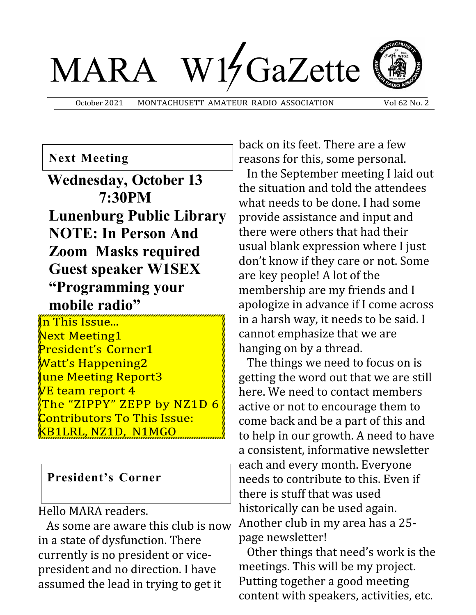# MARA W15GaZette



October 2021 MONTACHUSETT AMATEUR RADIO ASSOCIATION Vol 62 No. 2

#### **Next Meeting**

**Wednesday, October 13 7:30PM Lunenburg Public Library NOTE: In Person And Zoom Masks required Guest speaker W1SEX "Programming your mobile radio"**

**In This Issue...** Next Meeting1 President's Corner1 Watt's Happening2 une Meeting Report3  $V\!\!\!\!/\,\overline{\!\!\text{V}}$ E team report 4 The "ZIPPY" ZEPP by NZ1D 6 Contributors To This Issue: KB1LRL, NZ1D, N1MGO

#### **President's Corner**

Hello MARA readers.

 As some are aware this club is now in a state of dysfunction. There currently is no president or vicepresident and no direction. I have assumed the lead in trying to get it

back on its feet. There are a few reasons for this, some personal.

 In the September meeting I laid out the situation and told the attendees what needs to be done. I had some provide assistance and input and there were others that had their usual blank expression where I just don't know if they care or not. Some are key people! A lot of the membership are my friends and I apologize in advance if I come across in a harsh way, it needs to be said. I cannot emphasize that we are hanging on by a thread.

 The things we need to focus on is getting the word out that we are still here. We need to contact members active or not to encourage them to come back and be a part of this and to help in our growth. A need to have a consistent, informative newsletter each and every month. Everyone needs to contribute to this. Even if there is stuff that was used historically can be used again. Another club in my area has a 25 page newsletter!

 Other things that need's work is the meetings. This will be my project. Putting together a good meeting content with speakers, activities, etc.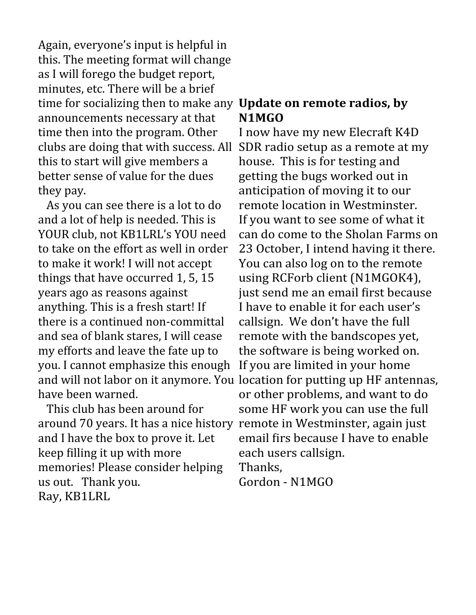Again, everyone's input is helpful in this. The meeting format will change as I will forego the budget report, minutes, etc. There will be a brief time for socializing then to make any **Update on remote radios, by**  announcements necessary at that time then into the program. Other clubs are doing that with success. All this to start will give members a better sense of value for the dues they pay.

 As you can see there is a lot to do and a lot of help is needed. This is YOUR club, not KB1LRL's YOU need to take on the effort as well in order to make it work! I will not accept things that have occurred 1, 5, 15 years ago as reasons against anything. This is a fresh start! If there is a continued non-committal and sea of blank stares, I will cease my efforts and leave the fate up to you. I cannot emphasize this enough have been warned.

 This club has been around for around 70 years. It has a nice history remote in Westminster, again just and I have the box to prove it. Let keep filling it up with more memories! Please consider helping us out. Thank you. Ray, KB1LRL

## **N1MGO**

and will not labor on it anymore. You location for putting up HF antennas, I now have my new Elecraft K4D SDR radio setup as a remote at my house. This is for testing and getting the bugs worked out in anticipation of moving it to our remote location in Westminster. If you want to see some of what it can do come to the Sholan Farms on 23 October, I intend having it there. You can also log on to the remote using RCForb client (N1MGOK4), just send me an email first because I have to enable it for each user's callsign. We don't have the full remote with the bandscopes yet, the software is being worked on. If you are limited in your home or other problems, and want to do some HF work you can use the full email firs because I have to enable each users callsign. Thanks, Gordon - N1MGO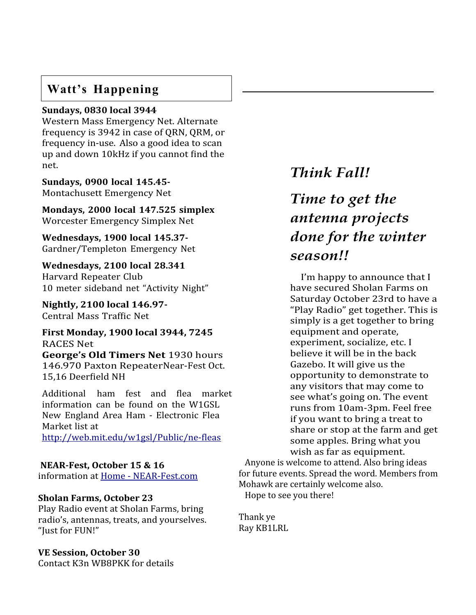#### **Watt's Happening**

#### **Sundays, 0830 local 3944**

Western Mass Emergency Net. Alternate frequency is 3942 in case of QRN, QRM, or frequency in-use. Also a good idea to scan up and down 10kHz if you cannot find the net.

**Sundays, 0900 local 145.45-** Montachusett Emergency Net

**Mondays, 2000 local 147.525 simplex** Worcester Emergency Simplex Net

**Wednesdays, 1900 local 145.37-** Gardner/Templeton Emergency Net

**Wednesdays, 2100 local 28.341** Harvard Repeater Club 10 meter sideband net "Activity Night"

**Nightly, 2100 local 146.97-** Central Mass Traffic Net

**First Monday, 1900 local 3944, 7245** RACES Net **George's Old Timers Net** 1930 hours

146.970 Paxton RepeaterNear-Fest Oct. 15,16 Deerfield NH

Additional ham fest and flea market information can be found on the W1GSL New England Area Ham - Electronic Flea Market list at <http://web.mit.edu/w1gsl/Public/ne-fleas>

#### **NEAR-Fest, October 15 & 16**

information at [Home - NEAR-Fest.com](https://near-fest.com/)

#### **Sholan Farms, October 23**

Play Radio event at Sholan Farms, bring radio's, antennas, treats, and yourselves. "Just for FUN!"

#### **VE Session, October 30**

Contact K3n WB8PKK for details

## *Think Fall!*

## *Time to get the antenna projects done for the winter season!!*

I'm happy to announce that I have secured Sholan Farms on Saturday October 23rd to have a "Play Radio" get together. This is simply is a get together to bring equipment and operate, experiment, socialize, etc. I believe it will be in the back Gazebo. It will give us the opportunity to demonstrate to any visitors that may come to see what's going on. The event runs from 10am-3pm. Feel free if you want to bring a treat to share or stop at the farm and get some apples. Bring what you wish as far as equipment. Anyone is welcome to attend. Also bring ideas

for future events. Spread the word. Members from Mohawk are certainly welcome also. Hope to see you there!

Thank ye Ray KB1LRL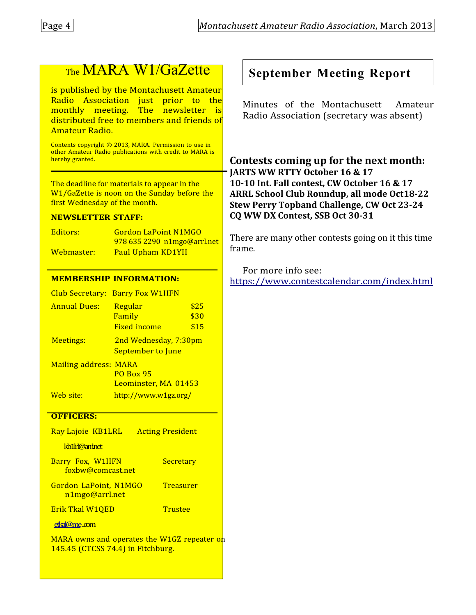## The MARA W1/GaZette

is published by the Montachusett Amateur Radio Association just prior to the monthly meeting. The newsletter is distributed free to members and friends of Amateur Radio.

Contents copyright © 2013, MARA. Permission to use in other Amateur Radio publications with credit to MARA is hereby granted. ֚֚֚֬

The deadline for materials to appear in the W1/GaZette is noon on the Sunday before the first Wednesday of the month.

#### **NEWSLETTER STAFF:**

Editors: Gordon LaPoint N1MGO 978 635 2290 n1mgo@arrl.net Webmaster: Paul Upham KD1YH

#### **MEMBERSHIP INFORMATION:**

| Club Secretary:              | <b>Barry Fox W1HFN</b>                            |                      |  |
|------------------------------|---------------------------------------------------|----------------------|--|
| <b>Annual Dues:</b>          | Regular<br>Family<br><b>Fixed income</b>          | \$25<br>\$30<br>\$15 |  |
| <b>Meetings:</b>             | 2nd Wednesday, 7:30pm<br><b>September to June</b> |                      |  |
| <b>Mailing address: MARA</b> | <b>PO Box 95</b><br>Leominster, MA 01453          |                      |  |
| Web site:                    | http://www.w1gz.org/                              |                      |  |

#### **OFFICERS:**

[etkal@me](mailto:etkal@me).com

| Ray Lajoie KB1LRL                              |                   | <b>Acting President</b> |
|------------------------------------------------|-------------------|-------------------------|
| kb1h@aninet                                    |                   |                         |
| Barry Fox, W1HFN                               | foxbw@comcast.net | Secretary               |
| <b>Gordon LaPoint, N1MGO</b><br>n1mgo@arrl.net |                   | Treasurer               |
| Erik Tkal W10ED                                |                   | Trustee                 |

MARA owns and operates the W1GZ repeater on 145.45 (CTCSS 74.4) in Fitchburg.

## **September Meeting Report**

Minutes of the Montachusett Amateur Radio Association (secretary was absent)

**Contests coming up for the next month: JARTS WW RTTY October 16 & 17 10-10 Int. Fall contest, CW October 16 & 17 ARRL School Club Roundup, all mode Oct18-22 Stew Perry Topband Challenge, CW Oct 23-24 CQ WW DX Contest, SSB Oct 30-31**

There are many other contests going on it this time frame.

For more info see: <https://www.contestcalendar.com/index.html>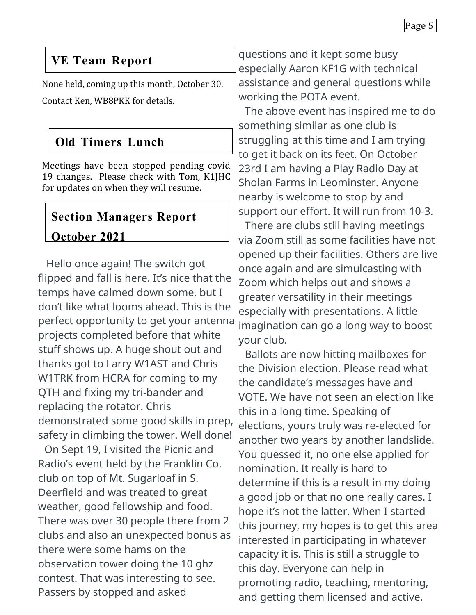### **VE Team Report**

None held, coming up this month, October 30. Contact Ken, WB8PKK for details.

## **Old Timers Lunch**

Meetings have been stopped pending covid 19 changes. Please check with Tom, K1JHC for updates on when they will resume.

## **Section Managers Report October 2021**

Hello once again! The switch got flipped and fall is here. It's nice that the temps have calmed down some, but I don't like what looms ahead. This is the perfect opportunity to get your antenna projects completed before that white stuff shows up. A huge shout out and thanks got to Larry W1AST and Chris W1TRK from HCRA for coming to my QTH and fixing my tri-bander and replacing the rotator. Chris demonstrated some good skills in prep, safety in climbing the tower. Well done!

On Sept 19, I visited the Picnic and Radio's event held by the Franklin Co. club on top of Mt. Sugarloaf in S. Deerfield and was treated to great weather, good fellowship and food. There was over 30 people there from 2 clubs and also an unexpected bonus as there were some hams on the observation tower doing the 10 ghz contest. That was interesting to see. Passers by stopped and asked

questions and it kept some busy especially Aaron KF1G with technical assistance and general questions while working the POTA event.

The above event has inspired me to do something similar as one club is struggling at this time and I am trying to get it back on its feet. On October 23rd I am having a Play Radio Day at Sholan Farms in Leominster. Anyone nearby is welcome to stop by and support our effort. It will run from 10-3.

There are clubs still having meetings via Zoom still as some facilities have not opened up their facilities. Others are live once again and are simulcasting with Zoom which helps out and shows a greater versatility in their meetings especially with presentations. A little imagination can go a long way to boost your club.

Ballots are now hitting mailboxes for the Division election. Please read what the candidate's messages have and VOTE. We have not seen an election like this in a long time. Speaking of elections, yours truly was re-elected for another two years by another landslide. You guessed it, no one else applied for nomination. It really is hard to determine if this is a result in my doing a good job or that no one really cares. I hope it's not the latter. When I started this journey, my hopes is to get this area interested in participating in whatever capacity it is. This is still a struggle to this day. Everyone can help in promoting radio, teaching, mentoring, and getting them licensed and active.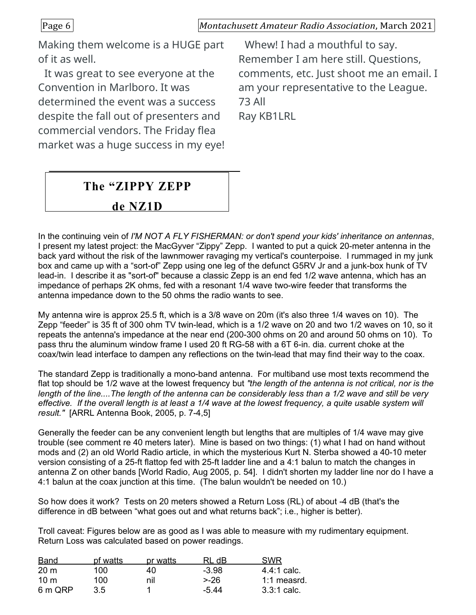Page 6 *Montachusett Amateur Radio Association*, March 2021

Making them welcome is a HUGE part of it as well.

It was great to see everyone at the Convention in Marlboro. It was determined the event was a success despite the fall out of presenters and commercial vendors. The Friday flea market was a huge success in my eye!

Whew! I had a mouthful to say. Remember I am here still. Questions, comments, etc. Just shoot me an email. I am your representative to the League. 73 All Ray KB1LRL

## **The "ZIPPY ZEPP**

#### **de NZ1D**

In the continuing vein of *I'M NOT A FLY FISHERMAN: or don't spend your kids' inheritance on antennas*, I present my latest project: the MacGyver "Zippy" Zepp. I wanted to put a quick 20-meter antenna in the back yard without the risk of the lawnmower ravaging my vertical's counterpoise. I rummaged in my junk box and came up with a "sort-of" Zepp using one leg of the defunct G5RV Jr and a junk-box hunk of TV lead-in. I describe it as "sort-of" because a classic Zepp is an end fed 1/2 wave antenna, which has an impedance of perhaps 2K ohms, fed with a resonant 1/4 wave two-wire feeder that transforms the antenna impedance down to the 50 ohms the radio wants to see.

My antenna wire is approx 25.5 ft, which is a 3/8 wave on 20m (it's also three 1/4 waves on 10). The Zepp "feeder" is 35 ft of 300 ohm TV twin-lead, which is a 1/2 wave on 20 and two 1/2 waves on 10, so it repeats the antenna's impedance at the near end (200-300 ohms on 20 and around 50 ohms on 10). To pass thru the aluminum window frame I used 20 ft RG-58 with a 6T 6-in. dia. current choke at the coax/twin lead interface to dampen any reflections on the twin-lead that may find their way to the coax.

The standard Zepp is traditionally a mono-band antenna. For multiband use most texts recommend the flat top should be 1/2 wave at the lowest frequency but *"the length of the antenna is not critical, nor is the length of the line....The length of the antenna can be considerably less than a 1/2 wave and still be very effective. If the overall length is at least a 1/4 wave at the lowest frequency, a quite usable system will result."* [ARRL Antenna Book, 2005, p. 7-4,5]

Generally the feeder can be any convenient length but lengths that are multiples of 1/4 wave may give trouble (see comment re 40 meters later). Mine is based on two things: (1) what I had on hand without mods and (2) an old World Radio article, in which the mysterious Kurt N. Sterba showed a 40-10 meter version consisting of a 25-ft flattop fed with 25-ft ladder line and a 4:1 balun to match the changes in antenna Z on other bands [World Radio, Aug 2005, p. 54]. I didn't shorten my ladder line nor do I have a 4:1 balun at the coax junction at this time. (The balun wouldn't be needed on 10.)

So how does it work? Tests on 20 meters showed a Return Loss (RL) of about -4 dB (that's the difference in dB between "what goes out and what returns back"; i.e., higher is better).

Troll caveat: Figures below are as good as I was able to measure with my rudimentary equipment. Return Loss was calculated based on power readings.

| Band            | pf watts | pr watts | RL dB   | <b>SWR</b>  |
|-----------------|----------|----------|---------|-------------|
| 20 <sub>m</sub> | 100      | 40.      | $-3.98$ | 4.4:1 calc. |
| $10 \text{ m}$  | 100.     | nil      | >-26    | 1:1 measrd. |
| 6 m QRP         | 35       |          | $-5.44$ | 3.3:1 calc. |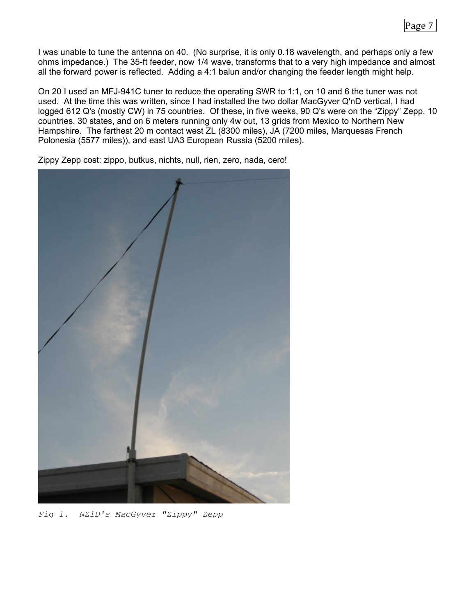I was unable to tune the antenna on 40. (No surprise, it is only 0.18 wavelength, and perhaps only a few ohms impedance.) The 35-ft feeder, now 1/4 wave, transforms that to a very high impedance and almost all the forward power is reflected. Adding a 4:1 balun and/or changing the feeder length might help.

On 20 I used an MFJ-941C tuner to reduce the operating SWR to 1:1, on 10 and 6 the tuner was not used. At the time this was written, since I had installed the two dollar MacGyver Q'nD vertical, I had logged 612 Q's (mostly CW) in 75 countries. Of these, in five weeks, 90 Q's were on the "Zippy" Zepp, 10 countries, 30 states, and on 6 meters running only 4w out, 13 grids from Mexico to Northern New Hampshire. The farthest 20 m contact west ZL (8300 miles), JA (7200 miles, Marquesas French Polonesia (5577 miles)), and east UA3 European Russia (5200 miles).

Zippy Zepp cost: zippo, butkus, nichts, null, rien, zero, nada, cero!

*Fig 1. NZ1D's MacGyver "Zippy" Zepp*